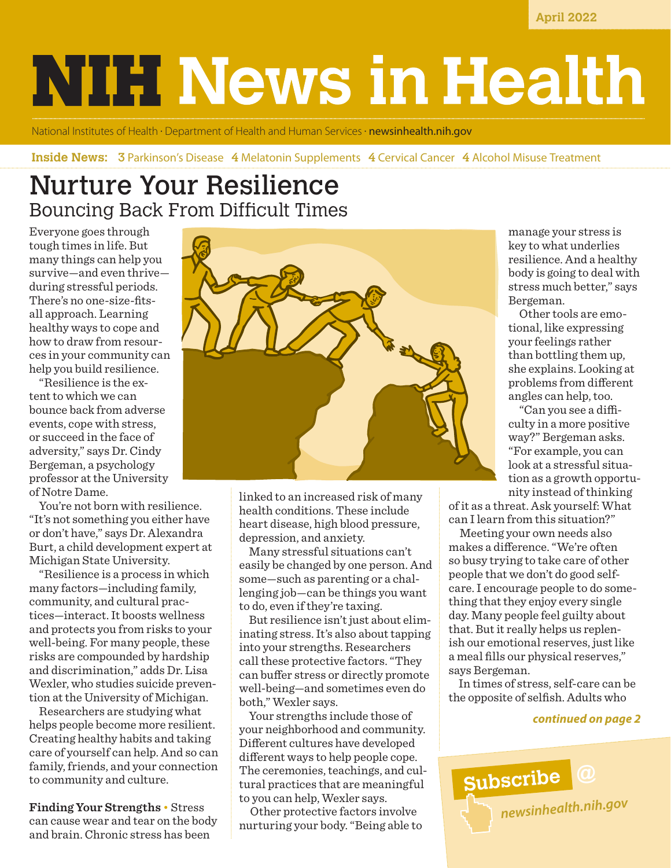**April 2022**

# **NIH News in Health**

National Institutes of Health • Department of Health and Human Services • **[newsinhealth.nih.gov](https://newsinhealth.nih.gov)** 

#### **Inside News: 3 Parkinson's Disease 4 Melatonin Supplements 4 Cervical Cancer 4 Alcohol Misuse Treatment**

# Nurture Your Resilience Bouncing Back From Difficult Times

Everyone goes through tough times in life. But many things can help you survive—and even thrive during stressful periods. There's no one-size-fitsall approach. Learning healthy ways to cope and how to draw from resources in your community can help you build resilience.

"Resilience is the extent to which we can bounce back from adverse events, cope with stress, or succeed in the face of adversity," says Dr. Cindy Bergeman, a psychology professor at the University of Notre Dame.

You're not born with resilience. "It's not something you either have or don't have," says Dr. Alexandra Burt, a child development expert at Michigan State University.

"Resilience is a process in which many factors—including family, community, and cultural practices—interact. It boosts wellness and protects you from risks to your well-being. For many people, these risks are compounded by hardship and discrimination," adds Dr. Lisa Wexler, who studies suicide prevention at the University of Michigan.

Researchers are studying what helps people become more resilient. Creating healthy habits and taking care of yourself can help. And so can family, friends, and your connection to community and culture.

**Finding Your Strengths** • Stress can cause wear and tear on the body and brain. Chronic stress has been



linked to an increased risk of many health conditions. These include heart disease, high blood pressure, depression, and anxiety.

Many stressful situations can't easily be changed by one person. And some—such as parenting or a challenging job—can be things you want to do, even if they're taxing.

But resilience isn't just about eliminating stress. It's also about tapping into your strengths. Researchers call these protective factors. "They can buffer stress or directly promote well-being—and sometimes even do both," Wexler says.

Your strengths include those of your neighborhood and community. Different cultures have developed different ways to help people cope. The ceremonies, teachings, and cultural practices that are meaningful to you can help, Wexler says.

 Other protective factors involve nurturing your body. "Being able to manage your stress is key to what underlies resilience. And a healthy body is going to deal with stress much better," says Bergeman.

 Other tools are emotional, like expressing your feelings rather than bottling them up, she explains. Looking at problems from different angles can help, too.

 "Can you see a difficulty in a more positive way?" Bergeman asks. "For example, you can look at a stressful situation as a growth opportunity instead of thinking

of it as a threat. Ask yourself: What can I learn from this situation?"

 Meeting your own needs also makes a difference. "We're often so busy trying to take care of other people that we don't do good selfcare. I encourage people to do something that they enjoy every single day. Many people feel guilty about that. But it really helps us replenish our emotional reserves, just like a meal fills our physical reserves," says Bergeman.

In times of stress, self-care can be the opposite of selfish. Adults who

#### *continued on page 2*

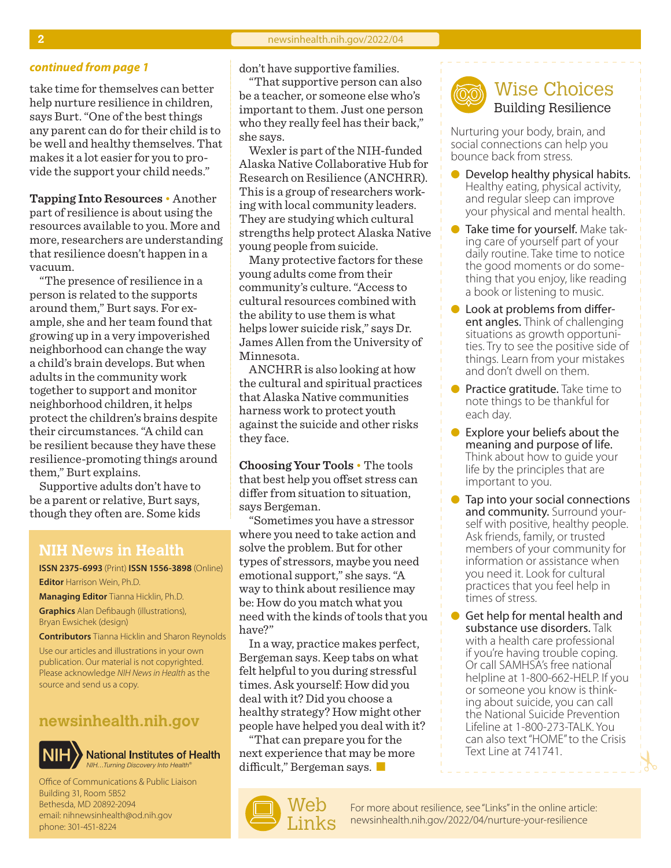take time for themselves can better help nurture resilience in children, says Burt. "One of the best things any parent can do for their child is to be well and healthy themselves. That makes it a lot easier for you to provide the support your child needs."

**Tapping Into Resources** • Another part of resilience is about using the resources available to you. More and more, researchers are understanding that resilience doesn't happen in a vacuum.

"The presence of resilience in a person is related to the supports around them," Burt says. For example, she and her team found that growing up in a very impoverished neighborhood can change the way a child's brain develops. But when adults in the community work together to support and monitor neighborhood children, it helps protect the children's brains despite their circumstances. "A child can be resilient because they have these resilience-promoting things around them," Burt explains.

Supportive adults don't have to be a parent or relative, Burt says, though they often are. Some kids

#### **NIH News in Health**

**ISSN 2375-6993** (Print) **ISSN 1556-3898** (Online) **Editor** Harrison Wein, Ph.D.

**Managing Editor** Tianna Hicklin, Ph.D. **Graphics** Alan Defibaugh (illustrations), Bryan Ewsichek (design)

**Contributors** Tianna Hicklin and Sharon Reynolds

Use our articles and illustrations in your own publication. Our material is not copyrighted. Please acknowledge *NIH News in Health* as the source and send us a copy.

#### **[newsinhealth.nih.gov](https://newsinhealth.nih.gov)**



**National Institutes of Health** *NIH…Turning Discovery Into Health®*

Office of Communications & Public Liaison Building 31, Room 5B52 Bethesda, MD 20892-2094 email: nihnewsinhealth@od.nih.gov phone: 301-451-8224

*continued from page 1* don't have supportive families.

"That supportive person can also be a teacher, or someone else who's important to them. Just one person who they really feel has their back," she says.

Wexler is part of the NIH-funded Alaska Native Collaborative Hub for Research on Resilience (ANCHRR). This is a group of researchers working with local community leaders. They are studying which cultural strengths help protect Alaska Native young people from suicide.

Many protective factors for these young adults come from their community's culture. "Access to cultural resources combined with the ability to use them is what helps lower suicide risk," says Dr. James Allen from the University of Minnesota.

ANCHRR is also looking at how the cultural and spiritual practices that Alaska Native communities harness work to protect youth against the suicide and other risks they face.

**Choosing Your Tools** • The tools that best help you offset stress can differ from situation to situation, says Bergeman.

"Sometimes you have a stressor where you need to take action and solve the problem. But for other types of stressors, maybe you need emotional support," she says. "A way to think about resilience may be: How do you match what you need with the kinds of tools that you have?"

In a way, practice makes perfect, Bergeman says. Keep tabs on what felt helpful to you during stressful times. Ask yourself: How did you deal with it? Did you choose a healthy strategy? How might other people have helped you deal with it?

"That can prepare you for the next experience that may be more difficult," Bergeman says.  $\blacksquare$ 





Nurturing your body, brain, and social connections can help you bounce back from stress.

- Develop healthy physical habits. Healthy eating, physical activity, and regular sleep can improve your physical and mental health.
- Take time for yourself. Make taking care of yourself part of your daily routine. Take time to notice the good moments or do something that you enjoy, like reading a book or listening to music.
- **l** Look at problems from different angles. Think of challenging situations as growth opportunities. Try to see the [positive side of](https://newsinhealth.nih.gov/2015/08/positive-emotions-your-health)  [things](https://newsinhealth.nih.gov/2015/08/positive-emotions-your-health). Learn from your mistakes and don't dwell on them.
- **Practice [gratitude.](https://newsinhealth.nih.gov/2019/03/practicing-gratitude)** Take time to note things to be thankful for each day.
- $\bullet$  Explore your beliefs about the meaning and purpose of life. Think about how to guide your life by the principles that are important to you.
- **Tap into your social connections** and community. Surround your-<br>self with positive, healthy people. Ask friends, family, or trusted members of your community for information or assistance when you need it. Look for cultural practices that you feel help in times of stress.
- Get help for mental health and substance use disorders. Talk with a health care professional if you're having trouble coping. Or call SAMHSA's free national helpline at 1-800-662-HELP. If you or someone you know is thinking about suicide, you can call the National Suicide Prevention Lifeline at 1-800-273-TALK. You can also text "HOME" to the Crisis Text Line at 741741.

For more about resilience, see "Links" in the online article: [newsinhealth.nih.gov/2022/04/](https://newsinhealth.nih.gov/2022/04/nurture-your-resilience)nurture-your-resilience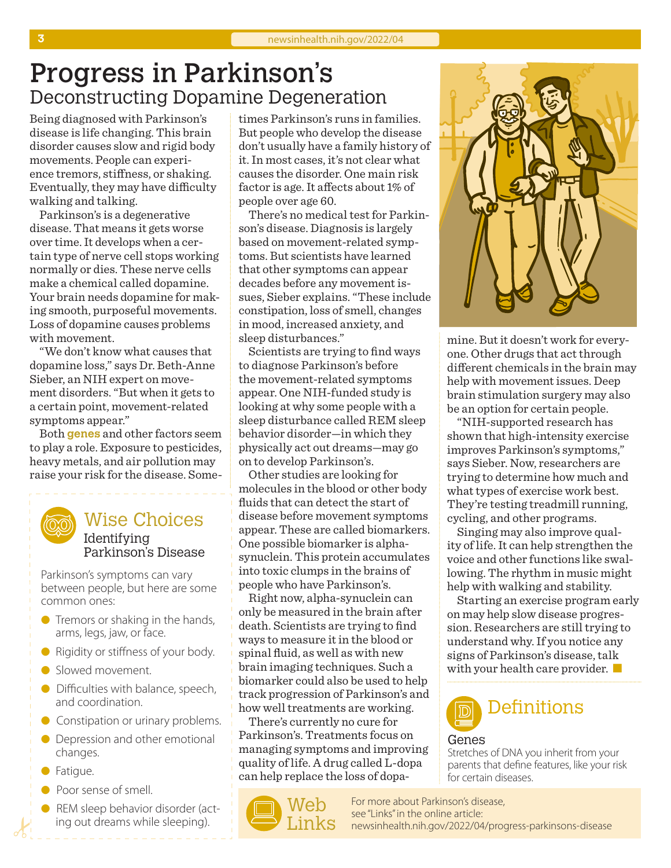# Progress in Parkinson's Deconstructing Dopamine Degeneration

Being diagnosed with Parkinson's disease is life changing. This brain disorder causes slow and rigid body movements. People can experience tremors, stiffness, or shaking. Eventually, they may have difficulty walking and talking.

Parkinson's is a degenerative disease. That means it gets worse over time. It develops when a certain type of nerve cell stops working normally or dies. These nerve cells make a chemical called dopamine. Your brain needs dopamine for making smooth, purposeful movements. Loss of dopamine causes problems with movement.

"We don't know what causes that dopamine loss," says Dr. Beth-Anne Sieber, an NIH expert on movement disorders. "But when it gets to a certain point, movement-related symptoms appear."

Both **genes** and other factors seem to play a role. Exposure to pesticides, heavy metals, and air pollution may raise your risk for the disease. Some-

### Wise Choices Identifying

Parkinson's Disease

Parkinson's symptoms can vary between people, but here are some common ones:

- $\bullet$  Tremors or shaking in the hands, arms, legs, jaw, or face.
- Rigidity or stiffness of your body.
- Slowed movement.
- **ID** Difficulties with balance, speech, and coordination.
- **C** Constipation or urinary problems.
- **•** Depression and other emotional changes.
- **•** Fatigue.
- **•** Poor sense of smell.
- REM sleep behavior disorder (acting out dreams while sleeping).

times Parkinson's runs in families. But people who develop the disease don't usually have a family history of it. In most cases, it's not clear what causes the disorder. One main risk factor is age. It affects about 1% of people over age 60.

There's no medical test for Parkinson's disease. Diagnosis is largely based on movement-related symptoms. But scientists have learned that other symptoms can appear decades before any movement issues, Sieber explains. "These include constipation, loss of smell, changes in mood, increased anxiety, and sleep disturbances."

Scientists are trying to find ways to diagnose Parkinson's before the movement-related symptoms appear. One NIH-funded study is looking at why some people with a sleep disturbance called REM sleep behavior disorder—in which they physically act out dreams—may go on to develop Parkinson's.

Other studies are looking for molecules in the blood or other body fluids that can detect the start of disease before movement symptoms appear. These are called biomarkers. One possible biomarker is alphasynuclein. This protein accumulates into toxic clumps in the brains of people who have Parkinson's.

Right now, alpha-synuclein can only be measured in the brain after death. Scientists are trying to find ways to measure it in the blood or spinal fluid, as well as with new brain imaging techniques. Such a biomarker could also be used to help track progression of Parkinson's and how well treatments are working.

There's currently no cure for Parkinson's. Treatments focus on managing symptoms and improving quality of life. A drug called L-dopa can help replace the loss of dopa-





mine. But it doesn't work for everyone. Other drugs that act through different chemicals in the brain may help with movement issues. Deep brain stimulation surgery may also be an option for certain people.

"NIH-supported research has shown that high-intensity exercise improves Parkinson's symptoms," says Sieber. Now, researchers are trying to determine how much and what types of exercise work best. They're testing treadmill running, cycling, and other programs.

Singing may also improve quality of life. It can help strengthen the voice and other functions like swallowing. The rhythm in music might help with walking and stability.

Starting an exercise program early on may help slow disease progression. Researchers are still trying to understand why. If you notice any signs of Parkinson's disease, talk with your health care provider.  $\blacksquare$ 



#### Genes

Stretches of DNA you inherit from your parents that define features, like your risk for certain diseases.

For more about Parkinson's disease, see "Links" in the online article: [newsinhealth.nih.gov/20](https://newsinhealth.nih.gov/2022/04/progress-parkinsons-disease)22/04/progress-parkinsons-disease